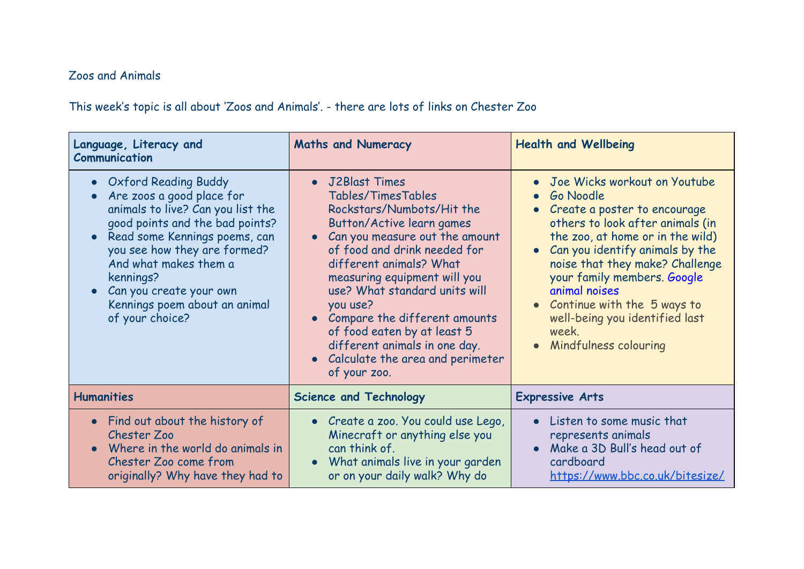## Zoos and Animals

This week's topic is all about 'Zoos and Animals'. - there are lots of links on Chester Zoo

| Language, Literacy and<br>Communication                                                                                                                                                                                                                                                                                | <b>Maths and Numeracy</b>                                                                                                                                                                                                                                                                                                                                                                                                                                         | <b>Health and Wellbeing</b>                                                                                                                                                                                                                                                                                                                                                        |
|------------------------------------------------------------------------------------------------------------------------------------------------------------------------------------------------------------------------------------------------------------------------------------------------------------------------|-------------------------------------------------------------------------------------------------------------------------------------------------------------------------------------------------------------------------------------------------------------------------------------------------------------------------------------------------------------------------------------------------------------------------------------------------------------------|------------------------------------------------------------------------------------------------------------------------------------------------------------------------------------------------------------------------------------------------------------------------------------------------------------------------------------------------------------------------------------|
| <b>Oxford Reading Buddy</b><br>Are zoos a good place for<br>animals to live? Can you list the<br>good points and the bad points?<br>Read some Kennings poems, can<br>you see how they are formed?<br>And what makes them a<br>kennings?<br>Can you create your own<br>Kennings poem about an animal<br>of your choice? | • J2Blast Times<br>Tables/TimesTables<br>Rockstars/Numbots/Hit the<br><b>Button/Active learn games</b><br>Can you measure out the amount<br>$\bullet$<br>of food and drink needed for<br>different animals? What<br>measuring equipment will you<br>use? What standard units will<br>you use?<br>• Compare the different amounts<br>of food eaten by at least 5<br>different animals in one day.<br>Calculate the area and perimeter<br>$\bullet$<br>of your zoo. | Joe Wicks workout on Youtube<br>Go Noodle<br>• Create a poster to encourage<br>others to look after animals (in<br>the zoo, at home or in the wild)<br>• Can you identify animals by the<br>noise that they make? Challenge<br>your family members. Google<br>animal noises<br>• Continue with the 5 ways to<br>well-being you identified last<br>week.<br>• Mindfulness colouring |
| <b>Humanities</b>                                                                                                                                                                                                                                                                                                      | <b>Science and Technology</b>                                                                                                                                                                                                                                                                                                                                                                                                                                     | <b>Expressive Arts</b>                                                                                                                                                                                                                                                                                                                                                             |
| • Find out about the history of<br>Chester Zoo<br>Where in the world do animals in<br>Chester Zoo come from<br>originally? Why have they had to                                                                                                                                                                        | • Create a zoo. You could use Lego,<br>Minecraft or anything else you<br>can think of.<br>What animals live in your garden<br>or on your daily walk? Why do                                                                                                                                                                                                                                                                                                       | Listen to some music that<br>$\bullet$<br>represents animals<br>Make a 3D Bull's head out of<br>cardboard<br>https://www.bbc.co.uk/bitesize/                                                                                                                                                                                                                                       |